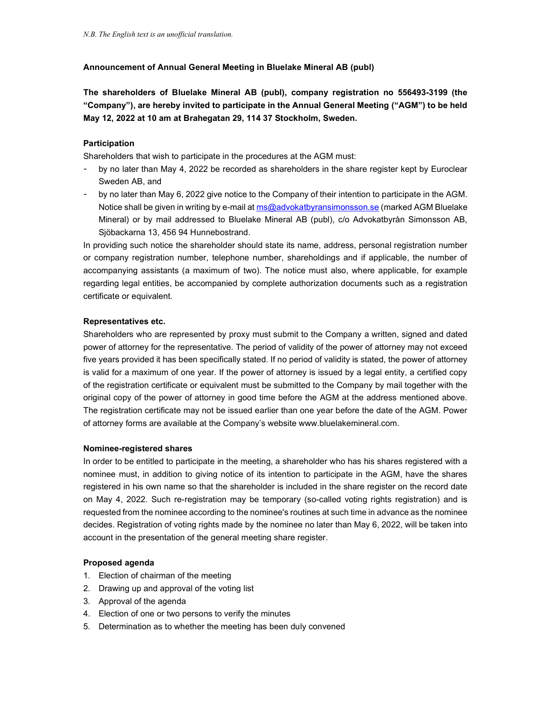# Announcement of Annual General Meeting in Bluelake Mineral AB (publ)

The shareholders of Bluelake Mineral AB (publ), company registration no 556493-3199 (the "Company"), are hereby invited to participate in the Annual General Meeting ("AGM") to be held May 12, 2022 at 10 am at Brahegatan 29, 114 37 Stockholm, Sweden.

# Participation

Shareholders that wish to participate in the procedures at the AGM must:

- by no later than May 4, 2022 be recorded as shareholders in the share register kept by Euroclear Sweden AB, and
- by no later than May 6, 2022 give notice to the Company of their intention to participate in the AGM. Notice shall be given in writing by e-mail at ms@advokatbyransimonsson.se (marked AGM Bluelake Mineral) or by mail addressed to Bluelake Mineral AB (publ), c/o Advokatbyrån Simonsson AB, Sjöbackarna 13, 456 94 Hunnebostrand.

In providing such notice the shareholder should state its name, address, personal registration number or company registration number, telephone number, shareholdings and if applicable, the number of accompanying assistants (a maximum of two). The notice must also, where applicable, for example regarding legal entities, be accompanied by complete authorization documents such as a registration certificate or equivalent.

#### Representatives etc.

Shareholders who are represented by proxy must submit to the Company a written, signed and dated power of attorney for the representative. The period of validity of the power of attorney may not exceed five years provided it has been specifically stated. If no period of validity is stated, the power of attorney is valid for a maximum of one year. If the power of attorney is issued by a legal entity, a certified copy of the registration certificate or equivalent must be submitted to the Company by mail together with the original copy of the power of attorney in good time before the AGM at the address mentioned above. The registration certificate may not be issued earlier than one year before the date of the AGM. Power of attorney forms are available at the Company's website www.bluelakemineral.com.

## Nominee-registered shares

In order to be entitled to participate in the meeting, a shareholder who has his shares registered with a nominee must, in addition to giving notice of its intention to participate in the AGM, have the shares registered in his own name so that the shareholder is included in the share register on the record date on May 4, 2022. Such re-registration may be temporary (so-called voting rights registration) and is requested from the nominee according to the nominee's routines at such time in advance as the nominee decides. Registration of voting rights made by the nominee no later than May 6, 2022, will be taken into account in the presentation of the general meeting share register.

## Proposed agenda

- 1. Election of chairman of the meeting
- 2. Drawing up and approval of the voting list
- 3. Approval of the agenda
- 4. Election of one or two persons to verify the minutes
- 5. Determination as to whether the meeting has been duly convened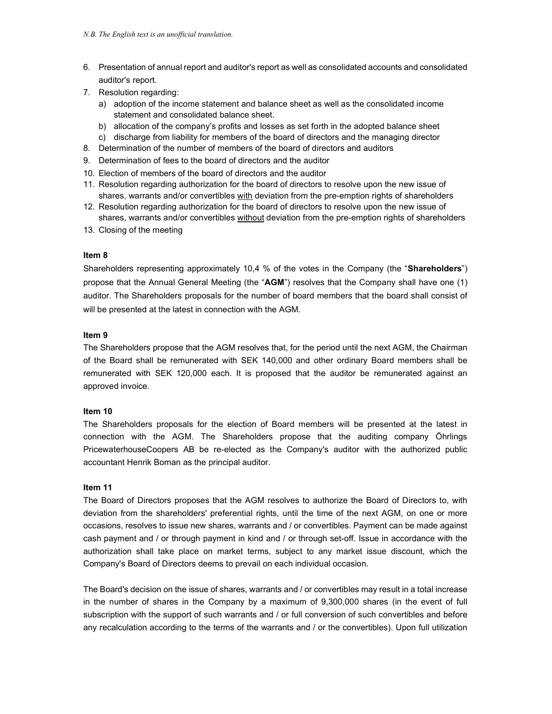- 6. Presentation of annual report and auditor's report as well as consolidated accounts and consolidated auditor's report.
- 7. Resolution regarding:
	- a) adoption of the income statement and balance sheet as well as the consolidated income statement and consolidated balance sheet.
	- b) allocation of the company's profits and losses as set forth in the adopted balance sheet
	- c) discharge from liability for members of the board of directors and the managing director
- 8. Determination of the number of members of the board of directors and auditors
- 9. Determination of fees to the board of directors and the auditor
- 10. Election of members of the board of directors and the auditor
- 11. Resolution regarding authorization for the board of directors to resolve upon the new issue of shares, warrants and/or convertibles with deviation from the pre-emption rights of shareholders
- 12. Resolution regarding authorization for the board of directors to resolve upon the new issue of shares, warrants and/or convertibles without deviation from the pre-emption rights of shareholders
- 13. Closing of the meeting

#### Item 8

Shareholders representing approximately 10,4 % of the votes in the Company (the "Shareholders") propose that the Annual General Meeting (the "AGM") resolves that the Company shall have one (1) auditor. The Shareholders proposals for the number of board members that the board shall consist of will be presented at the latest in connection with the AGM.

#### Item 9

The Shareholders propose that the AGM resolves that, for the period until the next AGM, the Chairman of the Board shall be remunerated with SEK 140,000 and other ordinary Board members shall be remunerated with SEK 120,000 each. It is proposed that the auditor be remunerated against an approved invoice.

## Item 10

The Shareholders proposals for the election of Board members will be presented at the latest in connection with the AGM. The Shareholders propose that the auditing company Öhrlings PricewaterhouseCoopers AB be re-elected as the Company's auditor with the authorized public accountant Henrik Boman as the principal auditor.

## Item 11

The Board of Directors proposes that the AGM resolves to authorize the Board of Directors to, with deviation from the shareholders' preferential rights, until the time of the next AGM, on one or more occasions, resolves to issue new shares, warrants and / or convertibles. Payment can be made against cash payment and / or through payment in kind and / or through set-off. Issue in accordance with the authorization shall take place on market terms, subject to any market issue discount, which the Company's Board of Directors deems to prevail on each individual occasion.

The Board's decision on the issue of shares, warrants and / or convertibles may result in a total increase in the number of shares in the Company by a maximum of 9,300,000 shares (in the event of full subscription with the support of such warrants and / or full conversion of such convertibles and before any recalculation according to the terms of the warrants and / or the convertibles). Upon full utilization